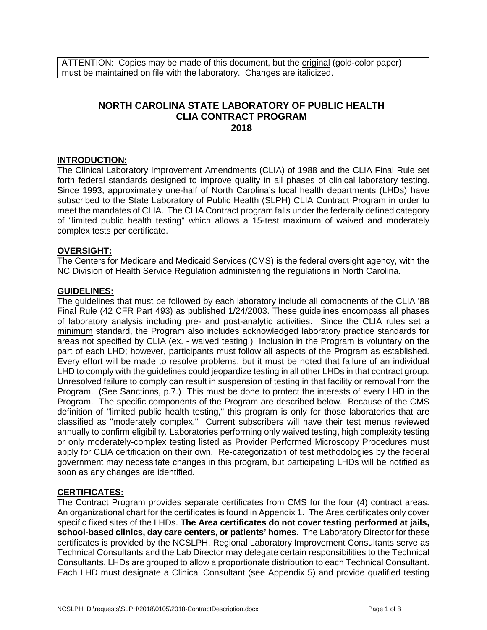ATTENTION: Copies may be made of this document, but the original (gold-color paper) must be maintained on file with the laboratory. Changes are italicized.

# **NORTH CAROLINA STATE LABORATORY OF PUBLIC HEALTH CLIA CONTRACT PROGRAM 2018**

## **INTRODUCTION:**

The Clinical Laboratory Improvement Amendments (CLIA) of 1988 and the CLIA Final Rule set forth federal standards designed to improve quality in all phases of clinical laboratory testing. Since 1993, approximately one-half of North Carolina's local health departments (LHDs) have subscribed to the State Laboratory of Public Health (SLPH) CLIA Contract Program in order to meet the mandates of CLIA. The CLIA Contract program falls under the federally defined category of "limited public health testing" which allows a 15-test maximum of waived and moderately complex tests per certificate.

## **OVERSIGHT:**

The Centers for Medicare and Medicaid Services (CMS) is the federal oversight agency, with the NC Division of Health Service Regulation administering the regulations in North Carolina.

#### **GUIDELINES:**

The guidelines that must be followed by each laboratory include all components of the CLIA '88 Final Rule (42 CFR Part 493) as published 1/24/2003. These guidelines encompass all phases of laboratory analysis including pre- and post-analytic activities. Since the CLIA rules set a minimum standard, the Program also includes acknowledged laboratory practice standards for areas not specified by CLIA (ex. - waived testing.) Inclusion in the Program is voluntary on the part of each LHD; however, participants must follow all aspects of the Program as established. Every effort will be made to resolve problems, but it must be noted that failure of an individual LHD to comply with the guidelines could jeopardize testing in all other LHDs in that contract group. Unresolved failure to comply can result in suspension of testing in that facility or removal from the Program. (See Sanctions, p.7.) This must be done to protect the interests of every LHD in the Program. The specific components of the Program are described below. Because of the CMS definition of "limited public health testing," this program is only for those laboratories that are classified as "moderately complex." Current subscribers will have their test menus reviewed annually to confirm eligibility*.* Laboratories performing only waived testing, high complexity testing or only moderately-complex testing listed as Provider Performed Microscopy Procedures must apply for CLIA certification on their own. Re-categorization of test methodologies by the federal government may necessitate changes in this program, but participating LHDs will be notified as soon as any changes are identified.

#### **CERTIFICATES:**

The Contract Program provides separate certificates from CMS for the four (4) contract areas. An organizational chart for the certificates is found in Appendix 1. The Area certificates only cover specific fixed sites of the LHDs. **The Area certificates do not cover testing performed at jails, school-based clinics, day care centers, or patients' homes**. The Laboratory Director for these certificates is provided by the NCSLPH. Regional Laboratory Improvement Consultants serve as Technical Consultants and the Lab Director may delegate certain responsibilities to the Technical Consultants. LHDs are grouped to allow a proportionate distribution to each Technical Consultant. Each LHD must designate a Clinical Consultant (see Appendix 5) and provide qualified testing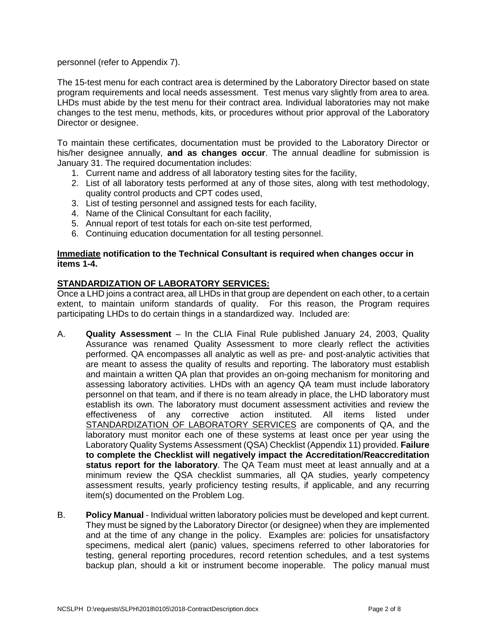## personnel (refer to Appendix 7).

The 15-test menu for each contract area is determined by the Laboratory Director based on state program requirements and local needs assessment. Test menus vary slightly from area to area. LHDs must abide by the test menu for their contract area. Individual laboratories may not make changes to the test menu, methods, kits, or procedures without prior approval of the Laboratory Director or designee.

To maintain these certificates, documentation must be provided to the Laboratory Director or his/her designee annually, **and as changes occur**. The annual deadline for submission is January 31. The required documentation includes:

- 1. Current name and address of all laboratory testing sites for the facility,
- 2. List of all laboratory tests performed at any of those sites, along with test methodology, quality control products and CPT codes used,
- 3. List of testing personnel and assigned tests for each facility,
- 4. Name of the Clinical Consultant for each facility,
- 5. Annual report of test totals for each on-site test performed,
- 6. Continuing education documentation for all testing personnel.

#### **Immediate notification to the Technical Consultant is required when changes occur in items 1-4.**

## **STANDARDIZATION OF LABORATORY SERVICES:**

Once a LHD joins a contract area, all LHDs in that group are dependent on each other, to a certain extent, to maintain uniform standards of quality. For this reason, the Program requires participating LHDs to do certain things in a standardized way. Included are:

- A. **Quality Assessment** In the CLIA Final Rule published January 24, 2003, Quality Assurance was renamed Quality Assessment to more clearly reflect the activities performed. QA encompasses all analytic as well as pre- and post-analytic activities that are meant to assess the quality of results and reporting. The laboratory must establish and maintain a written QA plan that provides an on-going mechanism for monitoring and assessing laboratory activities. LHDs with an agency QA team must include laboratory personnel on that team, and if there is no team already in place, the LHD laboratory must establish its own. The laboratory must document assessment activities and review the effectiveness of any corrective action instituted. All items listed under STANDARDIZATION OF LABORATORY SERVICES are components of QA, and the laboratory must monitor each one of these systems at least once per year using the Laboratory Quality Systems Assessment (QSA) Checklist (Appendix 11) provided. **Failure to complete the Checklist will negatively impact the Accreditation/Reaccreditation status report for the laboratory**. The QA Team must meet at least annually and at a minimum review the QSA checklist summaries, all QA studies, yearly competency assessment results, yearly proficiency testing results, if applicable, and any recurring item(s) documented on the Problem Log.
- B. **Policy Manual** Individual written laboratory policies must be developed and kept current. They must be signed by the Laboratory Director (or designee) when they are implemented and at the time of any change in the policy. Examples are: policies for unsatisfactory specimens, medical alert (panic) values, specimens referred to other laboratories for testing, general reporting procedures, record retention schedules*,* and a test systems backup plan, should a kit or instrument become inoperable. The policy manual must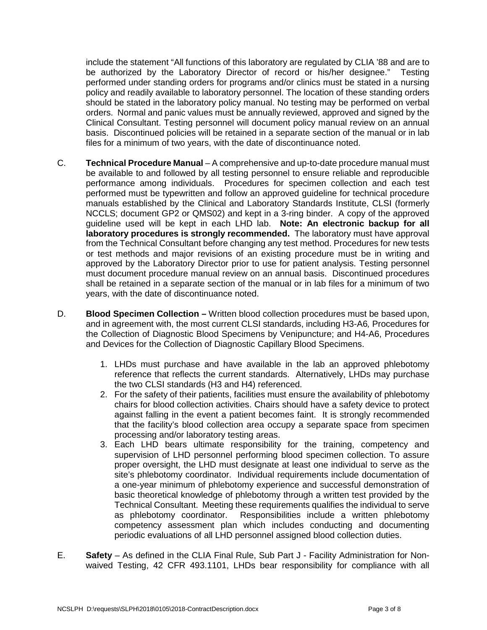include the statement "All functions of this laboratory are regulated by CLIA '88 and are to be authorized by the Laboratory Director of record or his/her designee." Testing performed under standing orders for programs and/or clinics must be stated in a nursing policy and readily available to laboratory personnel. The location of these standing orders should be stated in the laboratory policy manual. No testing may be performed on verbal orders. Normal and panic values must be annually reviewed, approved and signed by the Clinical Consultant. Testing personnel will document policy manual review on an annual basis. Discontinued policies will be retained in a separate section of the manual or in lab files for a minimum of two years, with the date of discontinuance noted.

- C. **Technical Procedure Manual** A comprehensive and up-to-date procedure manual must be available to and followed by all testing personnel to ensure reliable and reproducible performance among individuals. Procedures for specimen collection and each test performed must be typewritten and follow an approved guideline for technical procedure manuals established by the Clinical and Laboratory Standards Institute, CLSI (formerly NCCLS; document GP2 or QMS02) and kept in a 3-ring binder. A copy of the approved guideline used will be kept in each LHD lab. **Note: An electronic backup for all laboratory procedures is strongly recommended.** The laboratory must have approval from the Technical Consultant before changing any test method. Procedures for new tests or test methods and major revisions of an existing procedure must be in writing and approved by the Laboratory Director prior to use for patient analysis. Testing personnel must document procedure manual review on an annual basis. Discontinued procedures shall be retained in a separate section of the manual or in lab files for a minimum of two years, with the date of discontinuance noted.
- D. **Blood Specimen Collection –** Written blood collection procedures must be based upon, and in agreement with, the most current CLSI standards, including H3-A6*,* Procedures for the Collection of Diagnostic Blood Specimens by Venipuncture; and H4-A6, Procedures and Devices for the Collection of Diagnostic Capillary Blood Specimens.
	- 1. LHDs must purchase and have available in the lab an approved phlebotomy reference that reflects the current standards. Alternatively, LHDs may purchase the two CLSI standards (H3 and H4) referenced.
	- 2. For the safety of their patients, facilities must ensure the availability of phlebotomy chairs for blood collection activities. Chairs should have a safety device to protect against falling in the event a patient becomes faint. It is strongly recommended that the facility's blood collection area occupy a separate space from specimen processing and/or laboratory testing areas.
	- 3. Each LHD bears ultimate responsibility for the training, competency and supervision of LHD personnel performing blood specimen collection. To assure proper oversight, the LHD must designate at least one individual to serve as the site's phlebotomy coordinator. Individual requirements include documentation of a one-year minimum of phlebotomy experience and successful demonstration of basic theoretical knowledge of phlebotomy through a written test provided by the Technical Consultant. Meeting these requirements qualifies the individual to serve as phlebotomy coordinator. Responsibilities include a written phlebotomy competency assessment plan which includes conducting and documenting periodic evaluations of all LHD personnel assigned blood collection duties.
- E. **Safety**  As defined in the CLIA Final Rule, Sub Part J Facility Administration for Nonwaived Testing, 42 CFR 493.1101, LHDs bear responsibility for compliance with all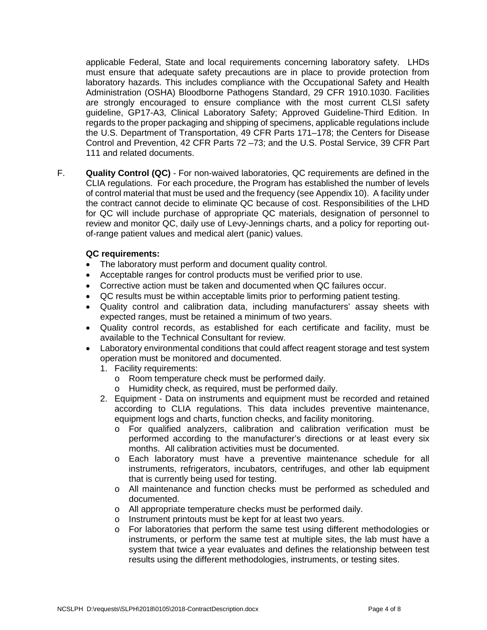applicable Federal, State and local requirements concerning laboratory safety. LHDs must ensure that adequate safety precautions are in place to provide protection from laboratory hazards. This includes compliance with the Occupational Safety and Health Administration (OSHA) Bloodborne Pathogens Standard, 29 CFR 1910.1030. Facilities are strongly encouraged to ensure compliance with the most current CLSI safety guideline, GP17-A3, Clinical Laboratory Safety; Approved Guideline-Third Edition. In regards to the proper packaging and shipping of specimens, applicable regulations include the U.S. Department of Transportation, 49 CFR Parts 171–178; the Centers for Disease Control and Prevention, 42 CFR Parts 72 –73; and the U.S. Postal Service, 39 CFR Part 111 and related documents.

F. **Quality Control (QC)** - For non-waived laboratories, QC requirements are defined in the CLIA regulations. For each procedure, the Program has established the number of levels of control material that must be used and the frequency (see Appendix 10). A facility under the contract cannot decide to eliminate QC because of cost. Responsibilities of the LHD for QC will include purchase of appropriate QC materials, designation of personnel to review and monitor QC, daily use of Levy-Jennings charts, and a policy for reporting outof-range patient values and medical alert (panic) values.

## **QC requirements:**

- The laboratory must perform and document quality control.
- Acceptable ranges for control products must be verified prior to use.
- Corrective action must be taken and documented when QC failures occur.
- QC results must be within acceptable limits prior to performing patient testing.
- Quality control and calibration data, including manufacturers' assay sheets with expected ranges, must be retained a minimum of two years.
- Quality control records, as established for each certificate and facility, must be available to the Technical Consultant for review.
- Laboratory environmental conditions that could affect reagent storage and test system operation must be monitored and documented.
	- 1. Facility requirements:
		- o Room temperature check must be performed daily.
		- o Humidity check, as required, must be performed daily.
	- 2. Equipment Data on instruments and equipment must be recorded and retained according to CLIA regulations. This data includes preventive maintenance, equipment logs and charts, function checks, and facility monitoring.
		- o For qualified analyzers, calibration and calibration verification must be performed according to the manufacturer's directions or at least every six months. All calibration activities must be documented.
		- o Each laboratory must have a preventive maintenance schedule for all instruments, refrigerators, incubators, centrifuges, and other lab equipment that is currently being used for testing.
		- o All maintenance and function checks must be performed as scheduled and documented.
		- o All appropriate temperature checks must be performed daily.
		- $\circ$  Instrument printouts must be kept for at least two years.<br> $\circ$  For laboratories that perform the same test using differ
		- For laboratories that perform the same test using different methodologies or instruments, or perform the same test at multiple sites, the lab must have a system that twice a year evaluates and defines the relationship between test results using the different methodologies, instruments, or testing sites.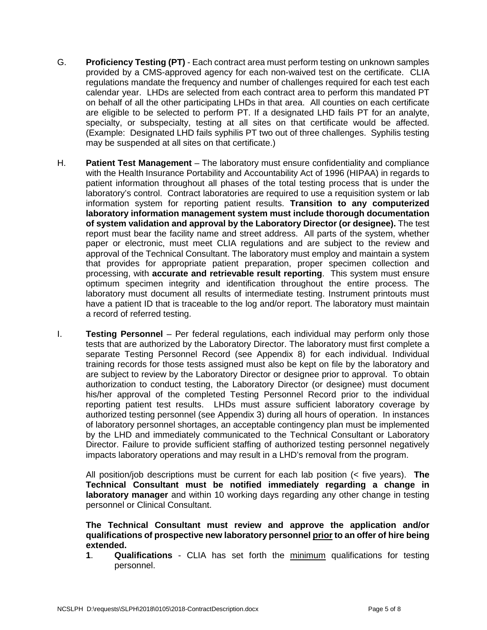- G. **Proficiency Testing (PT)** Each contract area must perform testing on unknown samples provided by a CMS-approved agency for each non-waived test on the certificate. CLIA regulations mandate the frequency and number of challenges required for each test each calendar year. LHDs are selected from each contract area to perform this mandated PT on behalf of all the other participating LHDs in that area. All counties on each certificate are eligible to be selected to perform PT. If a designated LHD fails PT for an analyte, specialty, or subspecialty, testing at all sites on that certificate would be affected. (Example: Designated LHD fails syphilis PT two out of three challenges. Syphilis testing may be suspended at all sites on that certificate.)
- H. **Patient Test Management** The laboratory must ensure confidentiality and compliance with the Health Insurance Portability and Accountability Act of 1996 (HIPAA) in regards to patient information throughout all phases of the total testing process that is under the laboratory's control. Contract laboratories are required to use a requisition system or lab information system for reporting patient results. **Transition to any computerized laboratory information management system must include thorough documentation of system validation and approval by the Laboratory Director (or designee).** The test report must bear the facility name and street address. All parts of the system, whether paper or electronic, must meet CLIA regulations and are subject to the review and approval of the Technical Consultant. The laboratory must employ and maintain a system that provides for appropriate patient preparation, proper specimen collection and processing, with **accurate and retrievable result reporting**. This system must ensure optimum specimen integrity and identification throughout the entire process. The laboratory must document all results of intermediate testing. Instrument printouts must have a patient ID that is traceable to the log and/or report. The laboratory must maintain a record of referred testing.
- I. **Testing Personnel**  Per federal regulations, each individual may perform only those tests that are authorized by the Laboratory Director. The laboratory must first complete a separate Testing Personnel Record (see Appendix 8) for each individual. Individual training records for those tests assigned must also be kept on file by the laboratory and are subject to review by the Laboratory Director or designee prior to approval. To obtain authorization to conduct testing, the Laboratory Director (or designee) must document his/her approval of the completed Testing Personnel Record prior to the individual reporting patient test results. LHDs must assure sufficient laboratory coverage by authorized testing personnel (see Appendix 3) during all hours of operation. In instances of laboratory personnel shortages, an acceptable contingency plan must be implemented by the LHD and immediately communicated to the Technical Consultant or Laboratory Director. Failure to provide sufficient staffing of authorized testing personnel negatively impacts laboratory operations and may result in a LHD's removal from the program.

All position/job descriptions must be current for each lab position (< five years). **The Technical Consultant must be notified immediately regarding a change in laboratory manager** and within 10 working days regarding any other change in testing personnel or Clinical Consultant.

**The Technical Consultant must review and approve the application and/or qualifications of prospective new laboratory personnel prior to an offer of hire being extended.**

**1**. **Qualifications** - CLIA has set forth the minimum qualifications for testing personnel.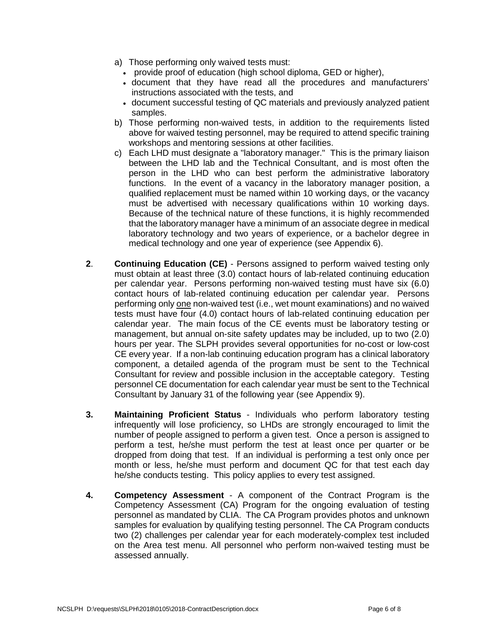- a) Those performing only waived tests must:
	- provide proof of education (high school diploma, GED or higher),
	- document that they have read all the procedures and manufacturers' instructions associated with the tests, and
	- document successful testing of QC materials and previously analyzed patient samples.
- b) Those performing non-waived tests, in addition to the requirements listed above for waived testing personnel, may be required to attend specific training workshops and mentoring sessions at other facilities.
- c) Each LHD must designate a "laboratory manager." This is the primary liaison between the LHD lab and the Technical Consultant, and is most often the person in the LHD who can best perform the administrative laboratory functions. In the event of a vacancy in the laboratory manager position, a qualified replacement must be named within 10 working days, or the vacancy must be advertised with necessary qualifications within 10 working days. Because of the technical nature of these functions, it is highly recommended that the laboratory manager have a minimum of an associate degree in medical laboratory technology and two years of experience, or a bachelor degree in medical technology and one year of experience (see Appendix 6).
- **2**. **Continuing Education (CE)** Persons assigned to perform waived testing only must obtain at least three (3.0) contact hours of lab-related continuing education per calendar year. Persons performing non-waived testing must have six (6.0) contact hours of lab-related continuing education per calendar year. Persons performing only one non-waived test (i.e., wet mount examinations) and no waived tests must have four (4.0) contact hours of lab-related continuing education per calendar year. The main focus of the CE events must be laboratory testing or management, but annual on-site safety updates may be included, up to two (2.0) hours per year. The SLPH provides several opportunities for no-cost or low-cost CE every year. If a non-lab continuing education program has a clinical laboratory component, a detailed agenda of the program must be sent to the Technical Consultant for review and possible inclusion in the acceptable category. Testing personnel CE documentation for each calendar year must be sent to the Technical Consultant by January 31 of the following year (see Appendix 9).
- **3. Maintaining Proficient Status** Individuals who perform laboratory testing infrequently will lose proficiency, so LHDs are strongly encouraged to limit the number of people assigned to perform a given test. Once a person is assigned to perform a test, he/she must perform the test at least once per quarter or be dropped from doing that test. If an individual is performing a test only once per month or less, he/she must perform and document QC for that test each day he/she conducts testing. This policy applies to every test assigned.
- **4. Competency Assessment**  A component of the Contract Program is the Competency Assessment (CA) Program for the ongoing evaluation of testing personnel as mandated by CLIA. The CA Program provides photos and unknown samples for evaluation by qualifying testing personnel. The CA Program conducts two (2) challenges per calendar year for each moderately-complex test included on the Area test menu. All personnel who perform non-waived testing must be assessed annually.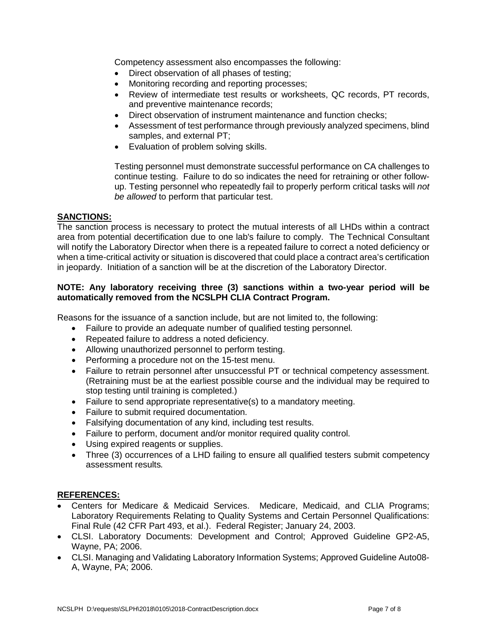Competency assessment also encompasses the following:

- Direct observation of all phases of testing;
- Monitoring recording and reporting processes;
- Review of intermediate test results or worksheets, QC records, PT records, and preventive maintenance records;
- Direct observation of instrument maintenance and function checks:
- Assessment of test performance through previously analyzed specimens, blind samples, and external PT;
- Evaluation of problem solving skills.

Testing personnel must demonstrate successful performance on CA challenges to continue testing. Failure to do so indicates the need for retraining or other followup. Testing personnel who repeatedly fail to properly perform critical tasks will *not be allowed* to perform that particular test.

## **SANCTIONS:**

The sanction process is necessary to protect the mutual interests of all LHDs within a contract area from potential decertification due to one lab's failure to comply. The Technical Consultant will notify the Laboratory Director when there is a repeated failure to correct a noted deficiency or when a time-critical activity or situation is discovered that could place a contract area's certification in jeopardy. Initiation of a sanction will be at the discretion of the Laboratory Director.

## **NOTE: Any laboratory receiving three (3) sanctions within a two-year period will be automatically removed from the NCSLPH CLIA Contract Program.**

Reasons for the issuance of a sanction include, but are not limited to, the following:

- Failure to provide an adequate number of qualified testing personnel*.*
- Repeated failure to address a noted deficiency.
- Allowing unauthorized personnel to perform testing.
- Performing a procedure not on the 15-test menu.
- Failure to retrain personnel after unsuccessful PT or technical competency assessment. (Retraining must be at the earliest possible course and the individual may be required to stop testing until training is completed.)
- Failure to send appropriate representative(s) to a mandatory meeting.
- Failure to submit required documentation.
- Falsifying documentation of any kind, including test results.
- Failure to perform, document and/or monitor required quality control.
- Using expired reagents or supplies.
- Three (3) occurrences of a LHD failing to ensure all qualified testers submit competency assessment results*.*

#### **REFERENCES:**

- Centers for Medicare & Medicaid Services. Medicare, Medicaid, and CLIA Programs; Laboratory Requirements Relating to Quality Systems and Certain Personnel Qualifications: Final Rule (42 CFR Part 493, et al.). Federal Register; January 24, 2003.
- CLSI. Laboratory Documents: Development and Control; Approved Guideline GP2-A5, Wayne, PA; 2006.
- CLSI. Managing and Validating Laboratory Information Systems; Approved Guideline Auto08- A, Wayne, PA; 2006.